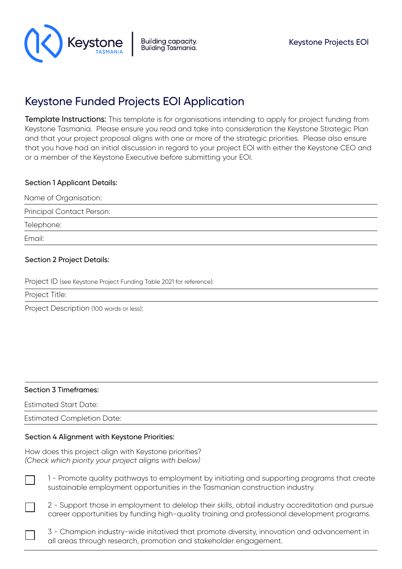

# Keystone Funded Projects EOI Application

Template Instructions: This template is for organisations intending to apply for project funding from Keystone Tasmania. Please ensure you read and take into consideration the Keystone Strategic Plan and that your project proposal aligns with one or more of the strategic priorities. Please also ensure that you have had an initial discussion in regard to your project EOI with either the Keystone CEO and or a member of the Keystone Executive before submitting your EOI.

### Section 1 Applicant Details:

Name of Organisation:

Principal Contact Person:

Telephone:

Email:

## Section 2 Project Details:

Project ID (see Keystone Project Funding Table 2021 for reference):

Project Title:

Project Description (100 words or less):

#### Section 3 Timeframes:

Estimated Start Date:

Estimated Completion Date:

#### Section 4 Alignment with Keystone Priorities:

How does this project align with Keystone priorities? *(Check which piority your project aligns with below)*

1 - Promote quality pathways to employment by initiating and supporting programs that create sustainable employment opportunities in the Tasmanian construction industry.

2 - Support those in employment to delelop their skills, obtail industry accreditation and pursue career opportunities by funding high-quality training and professional development programs.

3 - Champion industry-wide initatived that promote diversity, innovation and advancement in all areas through research, promotion and stakeholder engagement.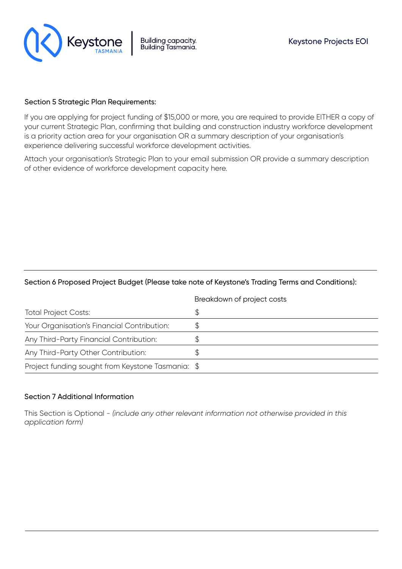

### Section 5 Strategic Plan Requirements:

If you are applying for project funding of \$15,000 or more, you are required to provide EITHER a copy of your current Strategic Plan, confirming that building and construction industry workforce development is a priority action area for your organisation OR a summary description of your organisation's experience delivering successful workforce development activities.

Attach your organisation's Strategic Plan to your email submission OR provide a summary description of other evidence of workforce development capacity here.

### Section 6 Proposed Project Budget (Please take note of Keystone's Trading Terms and Conditions):

|                                                   | Breakdown of project costs |
|---------------------------------------------------|----------------------------|
| <b>Total Project Costs:</b>                       | \$                         |
| Your Organisation's Financial Contribution:       |                            |
| Any Third-Party Financial Contribution:           |                            |
| Any Third-Party Other Contribution:               |                            |
| Project funding sought from Keystone Tasmania: \$ |                            |

#### Section 7 Additional Information

This Section is Optional - *(include any other relevant information not otherwise provided in this application form)*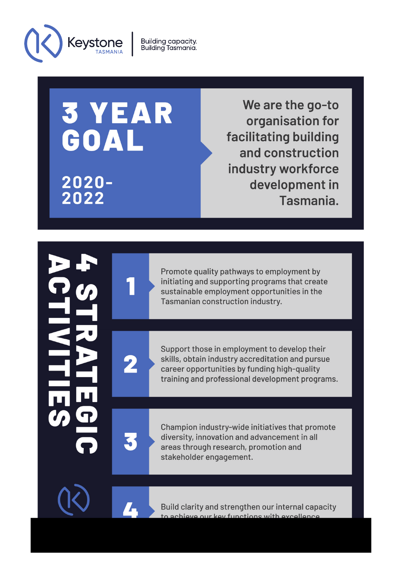

**Building capacity.**<br>Building Tasmania.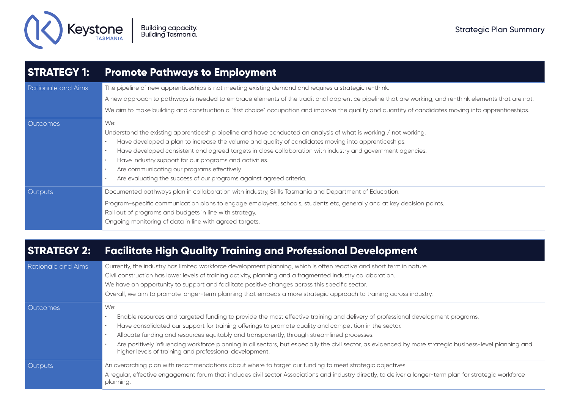

| <b>STRATEGY 1:</b> | <b>Promote Pathways to Employment</b>                                                                                                                 |
|--------------------|-------------------------------------------------------------------------------------------------------------------------------------------------------|
| Rationale and Aims | The pipeline of new apprenticeships is not meeting existing demand and requires a strategic re-think.                                                 |
|                    | A new approach to pathways is needed to embrace elements of the traditional apprentice pipeline that are working, and re-think elements that are not. |
|                    | We aim to make building and construction a "first choice" occupation and improve the quality and quantity of candidates moving into apprenticeships.  |
| <b>Outcomes</b>    | We:                                                                                                                                                   |
|                    | Understand the existing apprenticeship pipeline and have conducted an analysis of what is working / not working.                                      |
|                    | Have developed a plan to increase the volume and quality of candidates moving into apprenticeships.                                                   |
|                    | Have developed consistent and agreed targets in close collaboration with industry and government agencies.                                            |
|                    | Have industry support for our programs and activities.                                                                                                |
|                    | Are communicating our programs effectively.                                                                                                           |
|                    | Are evaluating the success of our programs against agreed criteria.                                                                                   |
| <b>Outputs</b>     | Documented pathways plan in collaboration with industry, Skills Tasmania and Department of Education.                                                 |
|                    | Program-specific communication plans to engage employers, schools, students etc, generally and at key decision points.                                |
|                    | Roll out of programs and budgets in line with strategy.                                                                                               |
|                    | Ongoing monitoring of data in line with agreed targets.                                                                                               |

# **STRATEGY 2: Facilitate High Quality Training and Professional Development**

| <b>Rationale and Aims</b> | Currently, the industry has limited workforce development planning, which is often reactive and short term in nature.<br>Civil construction has lower levels of training activity, planning and a fragmented industry collaboration.<br>We have an opportunity to support and facilitate positive changes across this specific sector.<br>Overall, we aim to promote longer-term planning that embeds a more strategic approach to training across industry.                                                                                                           |
|---------------------------|------------------------------------------------------------------------------------------------------------------------------------------------------------------------------------------------------------------------------------------------------------------------------------------------------------------------------------------------------------------------------------------------------------------------------------------------------------------------------------------------------------------------------------------------------------------------|
| <b>Outcomes</b>           | We:<br>Enable resources and targeted funding to provide the most effective training and delivery of professional development programs.<br>Have consolidated our support for training offerings to promote quality and competition in the sector.<br>Allocate funding and resources equitably and transparently, through streamlined processes.<br>Are positively influencing workforce planning in all sectors, but especially the civil sector, as evidenced by more strategic business-level planning and<br>higher levels of training and professional development. |
| Outputs                   | An overarching plan with recommendations about where to target our funding to meet strategic objectives.<br>A regular, effective engagement forum that includes civil sector Associations and industry directly, to deliver a longer-term plan for strategic workforce<br>planning.                                                                                                                                                                                                                                                                                    |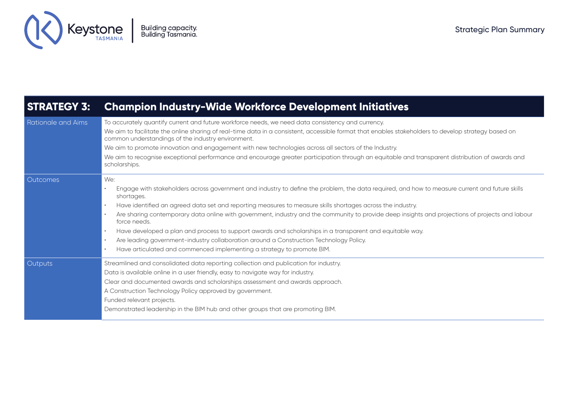

# **STRATEGY 3: Champion Industry-Wide Workforce Development Initiatives**

| <b>Rationale and Aims</b> | To accurately quantify current and future workforce needs, we need data consistency and currency.                                                                                                         |
|---------------------------|-----------------------------------------------------------------------------------------------------------------------------------------------------------------------------------------------------------|
|                           | We aim to facilitate the online sharing of real-time data in a consistent, accessible format that enables stakeholders to develop strategy based on<br>common understandings of the industry environment. |
|                           | We aim to promote innovation and engagement with new technologies across all sectors of the Industry.                                                                                                     |
|                           | We aim to recognise exceptional performance and encourage greater participation through an equitable and transparent distribution of awards and<br>scholarships.                                          |
| Outcomes                  | We:                                                                                                                                                                                                       |
|                           | Engage with stakeholders across government and industry to define the problem, the data required, and how to measure current and future skills<br>shortages.                                              |
|                           | Have identified an agreed data set and reporting measures to measure skills shortages across the industry.                                                                                                |
|                           | Are sharing contemporary data online with government, industry and the community to provide deep insights and projections of projects and labour<br>force needs.                                          |
|                           | Have developed a plan and process to support awards and scholarships in a transparent and equitable way.                                                                                                  |
|                           | Are leading government-industry collaboration around a Construction Technology Policy.                                                                                                                    |
|                           | Have articulated and commenced implementing a strategy to promote BIM.                                                                                                                                    |
| <b>Outputs</b>            | Streamlined and consolidated data reporting collection and publication for industry.                                                                                                                      |
|                           | Data is available online in a user friendly, easy to navigate way for industry.                                                                                                                           |
|                           | Clear and documented awards and scholarships assessment and awards approach.                                                                                                                              |
|                           | A Construction Technology Policy approved by government.                                                                                                                                                  |
|                           | Funded relevant projects.                                                                                                                                                                                 |
|                           | Demonstrated leadership in the BIM hub and other groups that are promoting BIM.                                                                                                                           |
|                           |                                                                                                                                                                                                           |